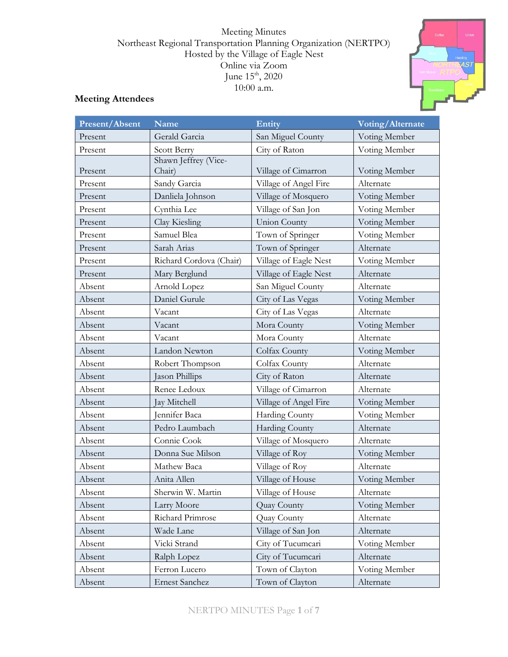Meeting Minutes Northeast Regional Transportation Planning Organization (NERTPO) Hosted by the Village of Eagle Nest Online via Zoom June  $15^{\text{th}}$ , 2020 10:00 a.m.

# **Meeting Attendees**

| Present/Absent | <b>Name</b>                    | Entity                | Voting/Alternate |
|----------------|--------------------------------|-----------------------|------------------|
| Present        | Gerald Garcia                  | San Miguel County     | Voting Member    |
| Present        | Scott Berry                    | City of Raton         | Voting Member    |
| Present        | Shawn Jeffrey (Vice-<br>Chair) | Village of Cimarron   | Voting Member    |
| Present        | Sandy Garcia                   | Village of Angel Fire | Alternate        |
| Present        | Danliela Johnson               | Village of Mosquero   | Voting Member    |
| Present        | Cynthia Lee                    | Village of San Jon    | Voting Member    |
| Present        | Clay Kiesling                  | <b>Union County</b>   | Voting Member    |
| Present        | Samuel Blea                    | Town of Springer      | Voting Member    |
| Present        | Sarah Arias                    | Town of Springer      | Alternate        |
| Present        | Richard Cordova (Chair)        | Village of Eagle Nest | Voting Member    |
| Present        | Mary Berglund                  | Village of Eagle Nest | Alternate        |
| Absent         | Arnold Lopez                   | San Miguel County     | Alternate        |
| Absent         | Daniel Gurule                  | City of Las Vegas     | Voting Member    |
| Absent         | Vacant                         | City of Las Vegas     | Alternate        |
| Absent         | Vacant                         | Mora County           | Voting Member    |
| Absent         | Vacant                         | Mora County           | Alternate        |
| Absent         | Landon Newton                  | Colfax County         | Voting Member    |
| Absent         | Robert Thompson                | Colfax County         | Alternate        |
| Absent         | Jason Phillips                 | City of Raton         | Alternate        |
| Absent         | Renee Ledoux                   | Village of Cimarron   | Alternate        |
| Absent         | Jay Mitchell                   | Village of Angel Fire | Voting Member    |
| Absent         | Jennifer Baca                  | Harding County        | Voting Member    |
| Absent         | Pedro Laumbach                 | Harding County        | Alternate        |
| Absent         | Connie Cook                    | Village of Mosquero   | Alternate        |
| Absent         | Donna Sue Milson               | Village of Roy        | Voting Member    |
| Absent         | Mathew Baca                    | Village of Roy        | Alternate        |
| Absent         | Anita Allen                    | Village of House      | Voting Member    |
| Absent         | Sherwin W. Martin              | Village of House      | Alternate        |
| Absent         | Larry Moore                    | Quay County           | Voting Member    |
| Absent         | Richard Primrose               | Quay County           | Alternate        |
| Absent         | Wade Lane                      | Village of San Jon    | Alternate        |
| Absent         | Vicki Strand                   | City of Tucumcari     | Voting Member    |
| Absent         | Ralph Lopez                    | City of Tucumcari     | Alternate        |
| Absent         | Ferron Lucero                  | Town of Clayton       | Voting Member    |
| Absent         | Ernest Sanchez                 | Town of Clayton       | Alternate        |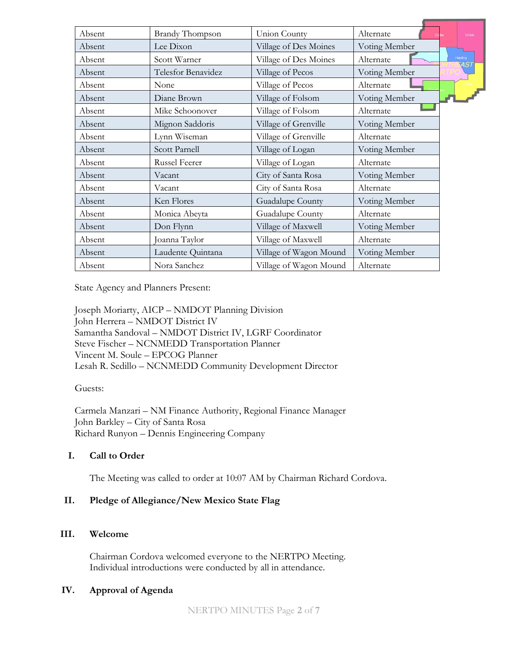| Absent | <b>Brandy Thompson</b> | Union County           | Alternate     |         | Union |
|--------|------------------------|------------------------|---------------|---------|-------|
| Absent | Lee Dixon              | Village of Des Moines  | Voting Member |         |       |
| Absent | Scott Warner           | Village of Des Moines  | Alternate     | Harding | XAST  |
| Absent | Telesfor Benavidez     | Village of Pecos       | Voting Member |         |       |
| Absent | None                   | Village of Pecos       | Alternate     |         |       |
| Absent | Diane Brown            | Village of Folsom      | Voting Member |         |       |
| Absent | Mike Schoonover        | Village of Folsom      | Alternate     |         |       |
| Absent | Mignon Saddoris        | Village of Grenville   | Voting Member |         |       |
| Absent | Lynn Wiseman           | Village of Grenville   | Alternate     |         |       |
| Absent | Scott Parnell          | Village of Logan       | Voting Member |         |       |
| Absent | Russel Feerer          | Village of Logan       | Alternate     |         |       |
| Absent | Vacant                 | City of Santa Rosa     | Voting Member |         |       |
| Absent | Vacant                 | City of Santa Rosa     | Alternate     |         |       |
| Absent | Ken Flores             | Guadalupe County       | Voting Member |         |       |
| Absent | Monica Abeyta          | Guadalupe County       | Alternate     |         |       |
| Absent | Don Flynn              | Village of Maxwell     | Voting Member |         |       |
| Absent | Joanna Taylor          | Village of Maxwell     | Alternate     |         |       |
| Absent | Laudente Quintana      | Village of Wagon Mound | Voting Member |         |       |
| Absent | Nora Sanchez           | Village of Wagon Mound | Alternate     |         |       |

State Agency and Planners Present:

Joseph Moriarty, AICP – NMDOT Planning Division John Herrera – NMDOT District IV Samantha Sandoval – NMDOT District IV, LGRF Coordinator Steve Fischer – NCNMEDD Transportation Planner Vincent M. Soule – EPCOG Planner Lesah R. Sedillo – NCNMEDD Community Development Director

#### Guests:

Carmela Manzari – NM Finance Authority, Regional Finance Manager John Barkley – City of Santa Rosa Richard Runyon – Dennis Engineering Company

#### **I. Call to Order**

The Meeting was called to order at 10:07 AM by Chairman Richard Cordova.

#### **II. Pledge of Allegiance/New Mexico State Flag**

#### **III. Welcome**

Chairman Cordova welcomed everyone to the NERTPO Meeting. Individual introductions were conducted by all in attendance.

#### **IV. Approval of Agenda**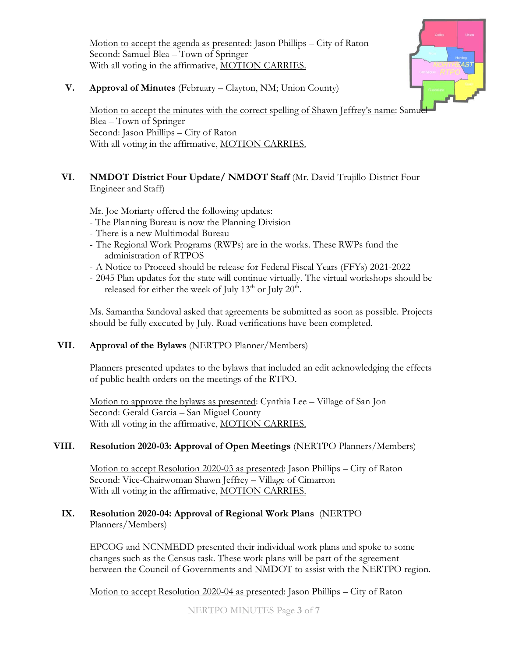Motion to accept the agenda as presented: Jason Phillips – City of Raton Second: Samuel Blea – Town of Springer With all voting in the affirmative, MOTION CARRIES.



**V. Approval of Minutes** (February – Clayton, NM; Union County)

Motion to accept the minutes with the correct spelling of Shawn Jeffrey's name: Samuel Blea – Town of Springer Second: Jason Phillips – City of Raton With all voting in the affirmative, MOTION CARRIES.

# **VI. NMDOT District Four Update/ NMDOT Staff** (Mr. David Trujillo-District Four Engineer and Staff)

Mr. Joe Moriarty offered the following updates:

- The Planning Bureau is now the Planning Division
- There is a new Multimodal Bureau
- The Regional Work Programs (RWPs) are in the works. These RWPs fund the administration of RTPOS
- A Notice to Proceed should be release for Federal Fiscal Years (FFYs) 2021-2022
- 2045 Plan updates for the state will continue virtually. The virtual workshops should be released for either the week of July  $13^{\text{th}}$  or July  $20^{\text{th}}$ .

Ms. Samantha Sandoval asked that agreements be submitted as soon as possible. Projects should be fully executed by July. Road verifications have been completed.

# **VII. Approval of the Bylaws** (NERTPO Planner/Members)

Planners presented updates to the bylaws that included an edit acknowledging the effects of public health orders on the meetings of the RTPO.

Motion to approve the bylaws as presented: Cynthia Lee – Village of San Jon Second: Gerald Garcia – San Miguel County With all voting in the affirmative, MOTION CARRIES.

# **VIII. Resolution 2020-03: Approval of Open Meetings** (NERTPO Planners/Members)

Motion to accept Resolution 2020-03 as presented: Jason Phillips – City of Raton Second: Vice-Chairwoman Shawn Jeffrey – Village of Cimarron With all voting in the affirmative, MOTION CARRIES.

### **IX. Resolution 2020-04: Approval of Regional Work Plans** (NERTPO Planners/Members)

EPCOG and NCNMEDD presented their individual work plans and spoke to some changes such as the Census task. These work plans will be part of the agreement between the Council of Governments and NMDOT to assist with the NERTPO region.

Motion to accept Resolution 2020-04 as presented: Jason Phillips – City of Raton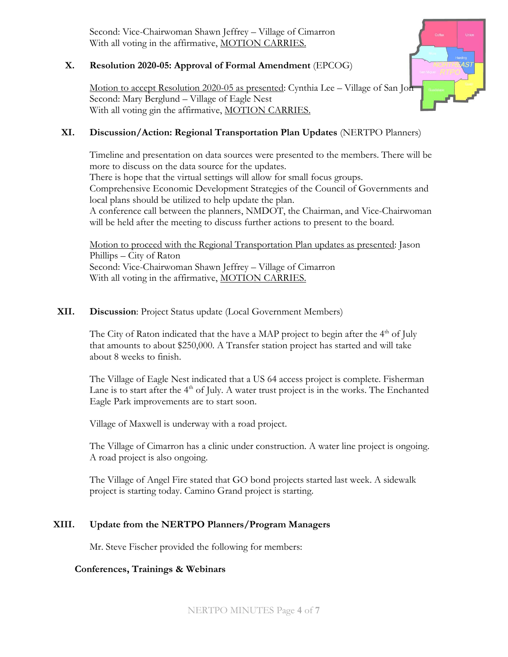Second: Vice-Chairwoman Shawn Jeffrey – Village of Cimarron With all voting in the affirmative, MOTION CARRIES.

## **X. Resolution 2020-05: Approval of Formal Amendment** (EPCOG)

Motion to accept Resolution 2020-05 as presented: Cynthia Lee – Village of San Jon Second: Mary Berglund – Village of Eagle Nest With all voting gin the affirmative, MOTION CARRIES.

### **XI. Discussion/Action: Regional Transportation Plan Updates** (NERTPO Planners)

Timeline and presentation on data sources were presented to the members. There will be more to discuss on the data source for the updates.

There is hope that the virtual settings will allow for small focus groups.

Comprehensive Economic Development Strategies of the Council of Governments and local plans should be utilized to help update the plan.

A conference call between the planners, NMDOT, the Chairman, and Vice-Chairwoman will be held after the meeting to discuss further actions to present to the board.

Motion to proceed with the Regional Transportation Plan updates as presented: Jason Phillips – City of Raton Second: Vice-Chairwoman Shawn Jeffrey – Village of Cimarron With all voting in the affirmative, MOTION CARRIES.

#### **XII. Discussion**: Project Status update (Local Government Members)

The City of Raton indicated that the have a MAP project to begin after the  $4<sup>th</sup>$  of July that amounts to about \$250,000. A Transfer station project has started and will take about 8 weeks to finish.

The Village of Eagle Nest indicated that a US 64 access project is complete. Fisherman Lane is to start after the 4<sup>th</sup> of July. A water trust project is in the works. The Enchanted Eagle Park improvements are to start soon.

Village of Maxwell is underway with a road project.

The Village of Cimarron has a clinic under construction. A water line project is ongoing. A road project is also ongoing.

The Village of Angel Fire stated that GO bond projects started last week. A sidewalk project is starting today. Camino Grand project is starting.

# **XIII. Update from the NERTPO Planners/Program Managers**

Mr. Steve Fischer provided the following for members:

#### **Conferences, Trainings & Webinars**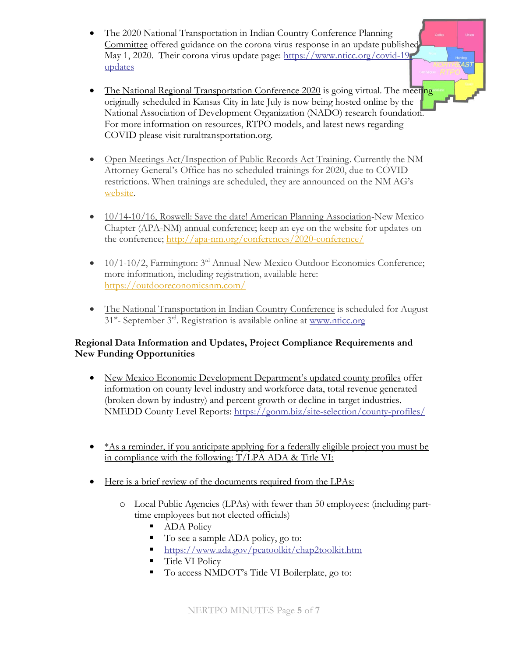- The 2020 National Transportation in Indian Country Conference Planning Committee offered guidance on the corona virus response in an update published May 1, 2020. Their corona virus update page: [https://www.nticc.org/covid-19](https://www.nticc.org/covid-19-updates) [updates](https://www.nticc.org/covid-19-updates)
- The National Regional Transportation Conference 2020 is going virtual. The meeting originally scheduled in Kansas City in late July is now being hosted online by the National Association of Development Organization (NADO) research foundation. For more information on resources, RTPO models, and latest news regarding COVID please visit ruraltransportation.org.

4S7

- Open Meetings Act/Inspection of Public Records Act Training. Currently the NM Attorney General's Office has no scheduled trainings for 2020, due to COVID restrictions. When trainings are scheduled, they are announced on the NM AG's [website.](https://www.nmag.gov/events.aspx?calCatId=ece276f71e8046f6a66d4f56a7e7e1bb&%22%20%5Cl%20%22/CalendarContent)
- 10/14-10/16, Roswell: Save the date! American Planning Association-New Mexico Chapter (APA-NM) annual conference; keep an eye on the website for updates on the conference;<http://apa-nm.org/conferences/2020-conference/>
- $10/1-10/2$ , Farmington:  $3<sup>rd</sup>$  Annual New Mexico Outdoor Economics Conference; more information, including registration, available here: <https://outdooreconomicsnm.com/>
- The National Transportation in Indian Country Conference is scheduled for August 31<sup>st</sup>- September 3<sup>rd</sup>. Registration is available online at [www.nticc.org](http://www.nticc.org/)

# **Regional Data Information and Updates, Project Compliance Requirements and New Funding Opportunities**

- New Mexico Economic Development Department's updated county profiles offer information on county level industry and workforce data, total revenue generated (broken down by industry) and percent growth or decline in target industries. NMEDD County Level Reports:<https://gonm.biz/site-selection/county-profiles/>
- $\bullet$  \*As a reminder, if you anticipate applying for a federally eligible project you must be in compliance with the following: T/LPA ADA & Title VI:
- Here is a brief review of the documents required from the LPAs:
	- o Local Public Agencies (LPAs) with fewer than 50 employees: (including parttime employees but not elected officials)
		- ADA Policy
		- To see a sample ADA policy, go to:
		- <https://www.ada.gov/pcatoolkit/chap2toolkit.htm>
		- Title VI Policy
		- To access NMDOT's Title VI Boilerplate, go to: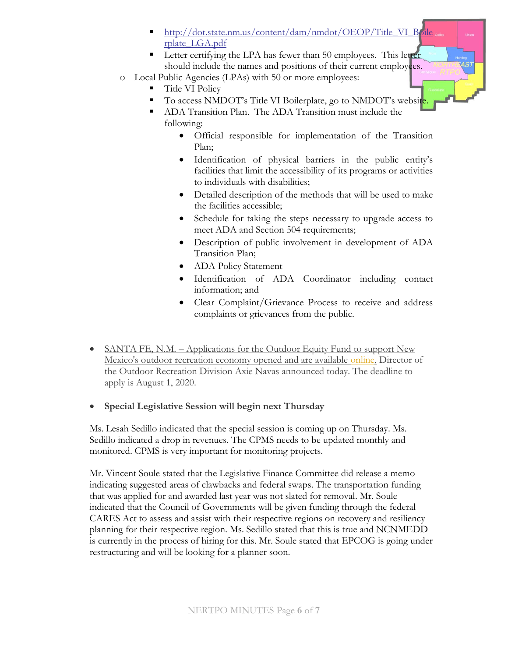- [http://dot.state.nm.us/content/dam/nmdot/OEOP/Title\\_VI\\_Boile](http://dot.state.nm.us/content/dam/nmdot/OEOP/Title_VI_Boilerplate_LGA.pdf) [rplate\\_LGA.pdf](http://dot.state.nm.us/content/dam/nmdot/OEOP/Title_VI_Boilerplate_LGA.pdf)
- **EXECUTE:** Letter certifying the LPA has fewer than 50 employees. This letter should include the names and positions of their current employees.
- o Local Public Agencies (LPAs) with 50 or more employees:
	- Title VI Policy
		- To access NMDOT's Title VI Boilerplate, go to NMDOT's website
		- ADA Transition Plan. The ADA Transition must include the following:
			- Official responsible for implementation of the Transition Plan;
			- Identification of physical barriers in the public entity's facilities that limit the accessibility of its programs or activities to individuals with disabilities;
			- Detailed description of the methods that will be used to make the facilities accessible;
			- Schedule for taking the steps necessary to upgrade access to meet ADA and Section 504 requirements;
			- Description of public involvement in development of ADA Transition Plan;
			- ADA Policy Statement
			- Identification of ADA Coordinator including contact information; and
			- Clear Complaint/Grievance Process to receive and address complaints or grievances from the public.
- SANTA FE, N.M. Applications for the Outdoor Equity Fund to support New Mexico's outdoor recreation economy opened and are available [online,](http://r20.rs6.net/tn.jsp?f=0011Vsd) Director of the Outdoor Recreation Division Axie Navas announced today. The deadline to apply is August 1, 2020.
- **Special Legislative Session will begin next Thursday**

Ms. Lesah Sedillo indicated that the special session is coming up on Thursday. Ms. Sedillo indicated a drop in revenues. The CPMS needs to be updated monthly and monitored. CPMS is very important for monitoring projects.

Mr. Vincent Soule stated that the Legislative Finance Committee did release a memo indicating suggested areas of clawbacks and federal swaps. The transportation funding that was applied for and awarded last year was not slated for removal. Mr. Soule indicated that the Council of Governments will be given funding through the federal CARES Act to assess and assist with their respective regions on recovery and resiliency planning for their respective region. Ms. Sedillo stated that this is true and NCNMEDD is currently in the process of hiring for this. Mr. Soule stated that EPCOG is going under restructuring and will be looking for a planner soon.